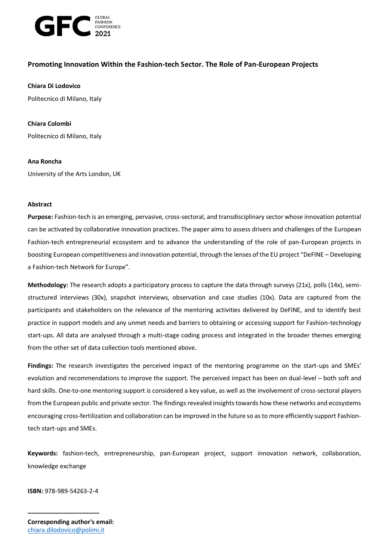

# **Promoting Innovation Within the Fashion-tech Sector. The Role of Pan-European Projects**

### **Chiara Di Lodovico**

Politecnico di Milano, Italy

### **Chiara Colombi**

Politecnico di Milano, Italy

### **Ana Roncha**

University of the Arts London, UK

### **Abstract**

**Purpose:** Fashion-tech is an emerging, pervasive, cross-sectoral, and transdisciplinary sector whose innovation potential can be activated by collaborative innovation practices. The paper aims to assess drivers and challenges of the European Fashion-tech entrepreneurial ecosystem and to advance the understanding of the role of pan-European projects in boosting European competitiveness and innovation potential, through the lenses of the EU project "DeFINE – Developing a Fashion-tech Network for Europe".

**Methodology:** The research adopts a participatory process to capture the data through surveys (21x), polls (14x), semistructured interviews (30x), snapshot interviews, observation and case studies (10x). Data are captured from the participants and stakeholders on the relevance of the mentoring activities delivered by DeFINE, and to identify best practice in support models and any unmet needs and barriers to obtaining or accessing support for Fashion-technology start-ups. All data are analysed through a multi-stage coding process and integrated in the broader themes emerging from the other set of data collection tools mentioned above.

**Findings:** The research investigates the perceived impact of the mentoring programme on the start-ups and SMEs' evolution and recommendations to improve the support. The perceived impact has been on dual-level – both soft and hard skills. One-to-one mentoring support is considered a key value, as well as the involvement of cross-sectoral players from the European public and private sector. The findings revealed insights towards how these networks and ecosystems encouraging cross-fertilization and collaboration can be improved in the future so as to more efficiently support Fashiontech start-ups and SMEs.

**Keywords:** fashion-tech, entrepreneurship, pan-European project, support innovation network, collaboration, knowledge exchange

**ISBN:** 978-989-54263-2-4

**\_\_\_\_\_\_\_\_\_\_\_\_\_\_\_\_\_\_\_\_**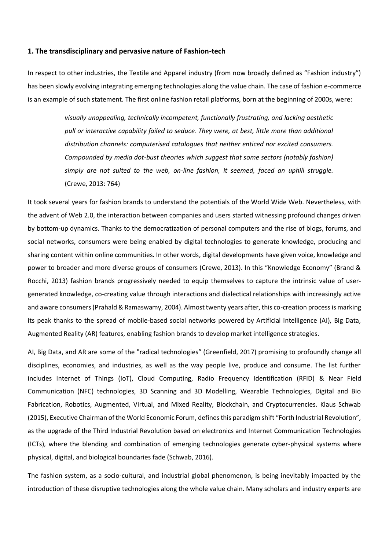#### **1. The transdisciplinary and pervasive nature of Fashion-tech**

In respect to other industries, the Textile and Apparel industry (from now broadly defined as "Fashion industry") has been slowly evolving integrating emerging technologies along the value chain. The case of fashion e-commerce is an example of such statement. The first online fashion retail platforms, born at the beginning of 2000s, were:

> *visually unappealing, technically incompetent, functionally frustrating, and lacking aesthetic pull or interactive capability failed to seduce. They were, at best, little more than additional distribution channels: computerised catalogues that neither enticed nor excited consumers. Compounded by media dot-bust theories which suggest that some sectors (notably fashion) simply are not suited to the web, on-line fashion, it seemed, faced an uphill struggle.*  (Crewe, 2013: 764)

It took several years for fashion brands to understand the potentials of the World Wide Web. Nevertheless, with the advent of Web 2.0, the interaction between companies and users started witnessing profound changes driven by bottom-up dynamics. Thanks to the democratization of personal computers and the rise of blogs, forums, and social networks, consumers were being enabled by digital technologies to generate knowledge, producing and sharing content within online communities. In other words, digital developments have given voice, knowledge and power to broader and more diverse groups of consumers (Crewe, 2013). In this "Knowledge Economy" (Brand & Rocchi, 2013) fashion brands progressively needed to equip themselves to capture the intrinsic value of usergenerated knowledge, co-creating value through interactions and dialectical relationships with increasingly active and aware consumers (Prahald & Ramaswamy, 2004). Almost twenty years after, this co-creation process is marking its peak thanks to the spread of mobile-based social networks powered by Artificial Intelligence (AI), Big Data, Augmented Reality (AR) features, enabling fashion brands to develop market intelligence strategies.

AI, Big Data, and AR are some of the "radical technologies" (Greenfield, 2017) promising to profoundly change all disciplines, economies, and industries, as well as the way people live, produce and consume. The list further includes Internet of Things (IoT), Cloud Computing, Radio Frequency Identification (RFID) & Near Field Communication (NFC) technologies, 3D Scanning and 3D Modelling, Wearable Technologies, Digital and Bio Fabrication, Robotics, Augmented, Virtual, and Mixed Reality, Blockchain, and Cryptocurrencies. Klaus Schwab (2015), Executive Chairman of the World Economic Forum, defines this paradigm shift "Forth Industrial Revolution", as the upgrade of the Third Industrial Revolution based on electronics and Internet Communication Technologies (ICTs), where the blending and combination of emerging technologies generate cyber-physical systems where physical, digital, and biological boundaries fade (Schwab, 2016).

The fashion system, as a socio-cultural, and industrial global phenomenon, is being inevitably impacted by the introduction of these disruptive technologies along the whole value chain. Many scholars and industry experts are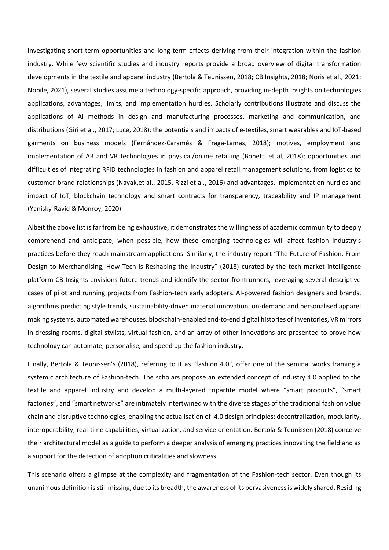investigating short-term opportunities and long-term effects deriving from their integration within the fashion industry. While few scientific studies and industry reports provide a broad overview of digital transformation developments in the textile and apparel industry (Bertola & Teunissen, 2018; CB Insights, 2018; Noris et al., 2021; Nobile, 2021), several studies assume a technology-specific approach, providing in-depth insights on technologies applications, advantages, limits, and implementation hurdles. Scholarly contributions illustrate and discuss the applications of AI methods in design and manufacturing processes, marketing and communication, and distributions (Giri et al., 2017; Luce, 2018); the potentials and impacts of e-textiles, smart wearables and IoT-based garments on business models (Fernández-Caramés & Fraga-Lamas, 2018); motives, employment and implementation of AR and VR technologies in physical/online retailing (Bonetti et al, 2018); opportunities and difficulties of integrating RFID technologies in fashion and apparel retail management solutions, from logistics to customer-brand relationships (Nayak,et al., 2015, Rizzi et al., 2016) and advantages, implementation hurdles and impact of IoT, blockchain technology and smart contracts for transparency, traceability and IP management (Yanisky-Ravid & Monroy, 2020).

Albeit the above list is far from being exhaustive, it demonstrates the willingness of academic community to deeply comprehend and anticipate, when possible, how these emerging technologies will affect fashion industry's practices before they reach mainstream applications. Similarly, the industry report "The Future of Fashion. From Design to Merchandising, How Tech is Reshaping the Industry" (2018) curated by the tech market intelligence platform CB Insights envisions future trends and identify the sector frontrunners, leveraging several descriptive cases of pilot and running projects from Fashion-tech early adopters. AI-powered fashion designers and brands, algorithms predicting style trends, sustainability-driven material innovation, on-demand and personalised apparel making systems, automated warehouses, blockchain-enabled end-to-end digital histories of inventories, VR mirrors in dressing rooms, digital stylists, virtual fashion, and an array of other innovations are presented to prove how technology can automate, personalise, and speed up the fashion industry.

Finally, Bertola & Teunissen's (2018), referring to it as "fashion 4.0", offer one of the seminal works framing a systemic architecture of Fashion-tech. The scholars propose an extended concept of Industry 4.0 applied to the textile and apparel industry and develop a multi-layered tripartite model where "smart products", "smart factories", and "smart networks" are intimately intertwined with the diverse stages of the traditional fashion value chain and disruptive technologies, enabling the actualisation of I4.0 design principles: decentralization, modularity, interoperability, real-time capabilities, virtualization, and service orientation. Bertola & Teunissen (2018) conceive their architectural model as a guide to perform a deeper analysis of emerging practices innovating the field and as a support for the detection of adoption criticalities and slowness.

This scenario offers a glimpse at the complexity and fragmentation of the Fashion-tech sector. Even though its unanimous definition is still missing, due to its breadth, the awareness of its pervasiveness is widely shared. Residing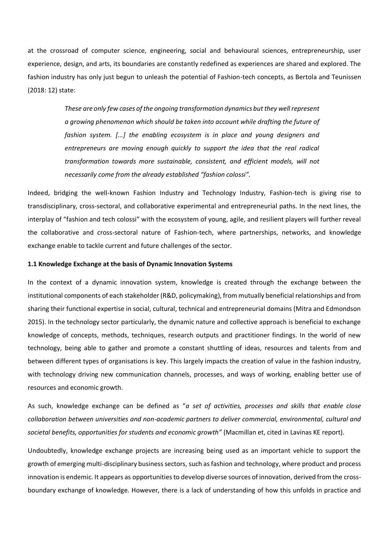at the crossroad of computer science, engineering, social and behavioural sciences, entrepreneurship, user experience, design, and arts, its boundaries are constantly redefined as experiences are shared and explored. The fashion industry has only just begun to unleash the potential of Fashion-tech concepts, as Bertola and Teunissen (2018: 12) state:

> *These are only few cases of the ongoing transformation dynamics but they well represent a growing phenomenon which should be taken into account while drafting the future of fashion system. [...] the enabling ecosystem is in place and young designers and entrepreneurs are moving enough quickly to support the idea that the real radical transformation towards more sustainable, consistent, and efficient models, will not necessarily come from the already established "fashion colossi".*

Indeed, bridging the well-known Fashion Industry and Technology Industry, Fashion-tech is giving rise to transdisciplinary, cross-sectoral, and collaborative experimental and entrepreneurial paths. In the next lines, the interplay of "fashion and tech colossi" with the ecosystem of young, agile, and resilient players will further reveal the collaborative and cross-sectoral nature of Fashion-tech, where partnerships, networks, and knowledge exchange enable to tackle current and future challenges of the sector.

### **1.1 Knowledge Exchange at the basis of Dynamic Innovation Systems**

In the context of a dynamic innovation system, knowledge is created through the exchange between the institutional components of each stakeholder (R&D, policymaking), from mutually beneficial relationships and from sharing their functional expertise in social, cultural, technical and entrepreneurial domains (Mitra and Edmondson 2015). In the technology sector particularly, the dynamic nature and collective approach is beneficial to exchange knowledge of concepts, methods, techniques, research outputs and practitioner findings. In the world of new technology, being able to gather and promote a constant shuttling of ideas, resources and talents from and between different types of organisations is key. This largely impacts the creation of value in the fashion industry, with technology driving new communication channels, processes, and ways of working, enabling better use of resources and economic growth.

As such, knowledge exchange can be defined as "*a set of activities, processes and skills that enable close collaboration between universities and non-academic partners to deliver commercial, environmental, cultural and societal benefits, opportunities for students and economic growth"* (Macmillan et, cited in Lavinas KE report).

Undoubtedly, knowledge exchange projects are increasing being used as an important vehicle to support the growth of emerging multi-disciplinary business sectors, such as fashion and technology, where product and process innovation is endemic. It appears as opportunities to develop diverse sources of innovation, derived from the crossboundary exchange of knowledge. However, there is a lack of understanding of how this unfolds in practice and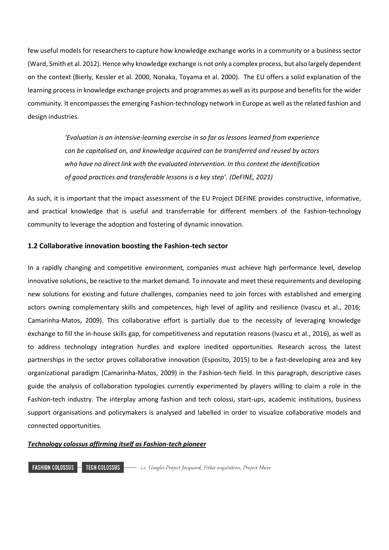few useful models for researchers to capture how knowledge exchange works in a community or a business sector (Ward, Smith et al. 2012). Hence why knowledge exchange is not only a complex process, but also largely dependent on the context (Bierly, Kessler et al. 2000, Nonaka, Toyama et al. 2000). The EU offers a solid explanation of the learning process in knowledge exchange projects and programmes as well as its purpose and benefits for the wider community. It encompasses the emerging Fashion-technology network in Europe as well as the related fashion and design industries.

> *'Evaluation is an intensive-learning exercise in so far as lessons learned from experience can be capitalised on, and knowledge acquired can be transferred and reused by actors who have no direct link with the evaluated intervention. In this context the identification of good practices and transferable lessons is a key step'. (DeFINE, 2021)*

As such, it is important that the impact assessment of the EU Project DEFINE provides constructive, informative, and practical knowledge that is useful and transferrable for different members of the Fashion-technology community to leverage the adoption and fostering of dynamic innovation.

## **1.2 Collaborative innovation boosting the Fashion-tech sector**

In a rapidly changing and competitive environment, companies must achieve high performance level, develop innovative solutions, be reactive to the market demand. To innovate and meet these requirements and developing new solutions for existing and future challenges, companies need to join forces with established and emerging actors owning complementary skills and competences, high level of agility and resilience (Ivascu et al., 2016; Camarinha-Matos, 2009). This collaborative effort is partially due to the necessity of leveraging knowledge exchange to fill the in-house skills gap, for competitiveness and reputation reasons (Ivascu et al., 2016), as well as to address technology integration hurdles and explore inedited opportunities. Research across the latest partnerships in the sector proves collaborative innovation (Esposito, 2015) to be a fast-developing area and key organizational paradigm (Camarinha-Matos, 2009) in the Fashion-tech field. In this paragraph, descriptive cases guide the analysis of collaboration typologies currently experimented by players willing to claim a role in the Fashion-tech industry. The interplay among fashion and tech colossi, start-ups, academic institutions, business support organisations and policymakers is analysed and labelled in order to visualize collaborative models and connected opportunities.

## *Technology colossus affirming itself as Fashion-tech pioneer*

**FASHION COLOSSUS -**TECH COLOSSUS -- i.e. Google's Project Jacquard, Fitbit acquisition, Project Muze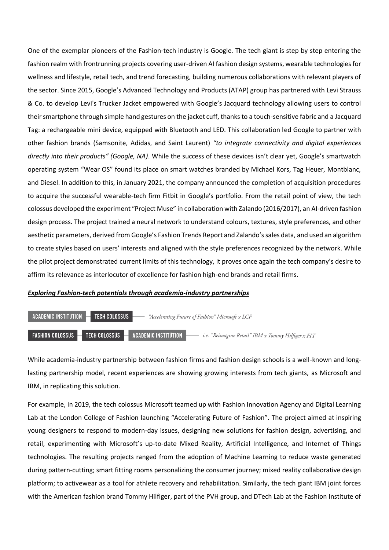One of the exemplar pioneers of the Fashion-tech industry is Google. The tech giant is step by step entering the fashion realm with frontrunning projects covering user-driven AI fashion design systems, wearable technologies for wellness and lifestyle, retail tech, and trend forecasting, building numerous collaborations with relevant players of the sector. Since 2015, Google's Advanced Technology and Products (ATAP) group has partnered with Levi Strauss & Co. to develop Levi's Trucker Jacket empowered with Google's Jacquard technology allowing users to control their smartphone through simple hand gestures on the jacket cuff, thanks to a touch-sensitive fabric and a Jacquard Tag: a rechargeable mini device, equipped with Bluetooth and LED. This collaboration led Google to partner with other fashion brands (Samsonite, Adidas, and Saint Laurent) *"to integrate connectivity and digital experiences directly into their products" (Google, NA)*. While the success of these devices isn't clear yet, Google's smartwatch operating system "Wear OS" found its place on smart watches branded by Michael Kors, Tag Heuer, Montblanc, and Diesel. In addition to this, in January 2021, the company announced the completion of acquisition procedures to acquire the successful wearable-tech firm Fitbit in Google's portfolio. From the retail point of view, the tech colossus developed the experiment "Project Muse" in collaboration with Zalando (2016/2017), an AI-driven fashion design process. The project trained a neural network to understand colours, textures, style preferences, and other aesthetic parameters, derived from Google's Fashion Trends Report and Zalando's sales data, and used an algorithm to create styles based on users' interests and aligned with the style preferences recognized by the network. While the pilot project demonstrated current limits of this technology, it proves once again the tech company's desire to affirm its relevance as interlocutor of excellence for fashion high-end brands and retail firms.

#### *Exploring Fashion-tech potentials through academia-industry partnerships*



While academia-industry partnership between fashion firms and fashion design schools is a well-known and longlasting partnership model, recent experiences are showing growing interests from tech giants, as Microsoft and IBM, in replicating this solution.

For example, in 2019, the tech colossus Microsoft teamed up with Fashion Innovation Agency and Digital Learning Lab at the London College of Fashion launching "Accelerating Future of Fashion". The project aimed at inspiring young designers to respond to modern-day issues, designing new solutions for fashion design, advertising, and retail, experimenting with Microsoft's up-to-date Mixed Reality, Artificial Intelligence, and Internet of Things technologies. The resulting projects ranged from the adoption of Machine Learning to reduce waste generated during pattern-cutting; smart fitting rooms personalizing the consumer journey; mixed reality collaborative design platform; to activewear as a tool for athlete recovery and rehabilitation. Similarly, the tech giant IBM joint forces with the American fashion brand Tommy Hilfiger, part of the PVH group, and DTech Lab at the Fashion Institute of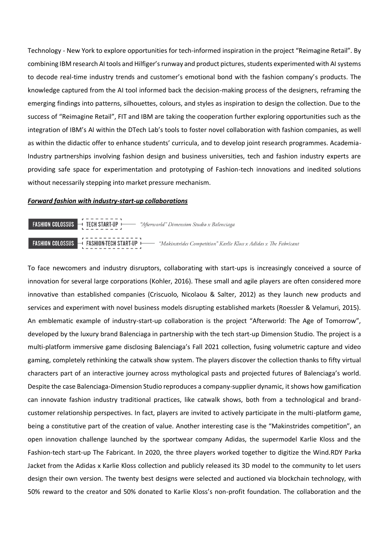Technology - New York to explore opportunities for tech-informed inspiration in the project "Reimagine Retail". By combining IBM research AI tools and Hilfiger's runway and product pictures, students experimented with AI systems to decode real-time industry trends and customer's emotional bond with the fashion company's products. The knowledge captured from the AI tool informed back the decision-making process of the designers, reframing the emerging findings into patterns, silhouettes, colours, and styles as inspiration to design the collection. Due to the success of "Reimagine Retail", FIT and IBM are taking the cooperation further exploring opportunities such as the integration of IBM's AI within the DTech Lab's tools to foster novel collaboration with fashion companies, as well as within the didactic offer to enhance students' curricula, and to develop joint research programmes. Academia-Industry partnerships involving fashion design and business universities, tech and fashion industry experts are providing safe space for experimentation and prototyping of Fashion-tech innovations and inedited solutions without necessarily stepping into market pressure mechanism.

#### *Forward fashion with industry-start-up collaborations*

| <b>FASHION COLOSSUS</b> $\rightarrow$ <b>TECH START-UP</b> $\rightarrow$ "Afterworld" Dimension Studio x Balenciaga<br>$1 - 2 - 3 - 2 - 1$ |                                                                                                                                            |
|--------------------------------------------------------------------------------------------------------------------------------------------|--------------------------------------------------------------------------------------------------------------------------------------------|
| .                                                                                                                                          | <b>FASHION COLOSSUS</b> $\rightarrow$ FASHION-TECH START-UP $\rightarrow$ "Makinstrides Competition" Karlie Kloss x Adidas x The Fabricant |

To face newcomers and industry disruptors, collaborating with start-ups is increasingly conceived a source of innovation for several large corporations (Kohler, 2016). These small and agile players are often considered more innovative than established companies (Criscuolo, Nicolaou & Salter, 2012) as they launch new products and services and experiment with novel business models disrupting established markets (Roessler & Velamuri, 2015). An emblematic example of industry-start-up collaboration is the project "Afterworld: The Age of Tomorrow", developed by the luxury brand Balenciaga in partnership with the tech start-up Dimension Studio. The project is a multi-platform immersive game disclosing Balenciaga's Fall 2021 collection, fusing volumetric capture and video gaming, completely rethinking the catwalk show system. The players discover the collection thanks to fifty virtual characters part of an interactive journey across mythological pasts and projected futures of Balenciaga's world. Despite the case Balenciaga-Dimension Studio reproduces a company-supplier dynamic, it shows how gamification can innovate fashion industry traditional practices, like catwalk shows, both from a technological and brandcustomer relationship perspectives. In fact, players are invited to actively participate in the multi-platform game, being a constitutive part of the creation of value. Another interesting case is the "Makinstrides competition", an open innovation challenge launched by the sportwear company Adidas, the supermodel Karlie Kloss and the Fashion-tech start-up The Fabricant. In 2020, the three players worked together to digitize the Wind.RDY Parka Jacket from the Adidas x Karlie Kloss collection and publicly released its 3D model to the community to let users design their own version. The twenty best designs were selected and auctioned via blockchain technology, with 50% reward to the creator and 50% donated to Karlie Kloss's non-profit foundation. The collaboration and the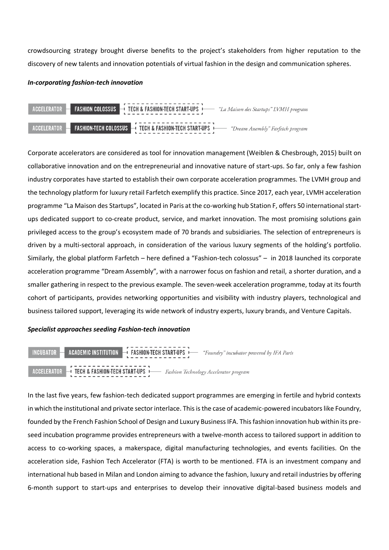crowdsourcing strategy brought diverse benefits to the project's stakeholders from higher reputation to the discovery of new talents and innovation potentials of virtual fashion in the design and communication spheres.

### *In-corporating fashion-tech innovation*



Corporate accelerators are considered as tool for innovation management (Weiblen & Chesbrough, 2015) built on collaborative innovation and on the entrepreneurial and innovative nature of start-ups. So far, only a few fashion industry corporates have started to establish their own corporate acceleration programmes. The LVMH group and the technology platform for luxury retail Farfetch exemplify this practice. Since 2017, each year, LVMH acceleration programme "La Maison des Startups", located in Paris at the co-working hub Station F, offers 50 international startups dedicated support to co-create product, service, and market innovation. The most promising solutions gain privileged access to the group's ecosystem made of 70 brands and subsidiaries. The selection of entrepreneurs is driven by a multi-sectoral approach, in consideration of the various luxury segments of the holding's portfolio. Similarly, the global platform Farfetch – here defined a "Fashion-tech colossus" – in 2018 launched its corporate acceleration programme "Dream Assembly", with a narrower focus on fashion and retail, a shorter duration, and a smaller gathering in respect to the previous example. The seven-week acceleration programme, today at its fourth cohort of participants, provides networking opportunities and visibility with industry players, technological and business tailored support, leveraging its wide network of industry experts, luxury brands, and Venture Capitals.

### *Specialist approaches seeding Fashion-tech innovation*



In the last five years, few fashion-tech dedicated support programmes are emerging in fertile and hybrid contexts in which the institutional and private sector interlace. This is the case of academic-powered incubators like Foundry, founded by the French Fashion School of Design and Luxury Business IFA. This fashion innovation hub within its preseed incubation programme provides entrepreneurs with a twelve-month access to tailored support in addition to access to co-working spaces, a makerspace, digital manufacturing technologies, and events facilities. On the acceleration side, Fashion Tech Accelerator (FTA) is worth to be mentioned. FTA is an investment company and international hub based in Milan and London aiming to advance the fashion, luxury and retail industries by offering 6-month support to start-ups and enterprises to develop their innovative digital-based business models and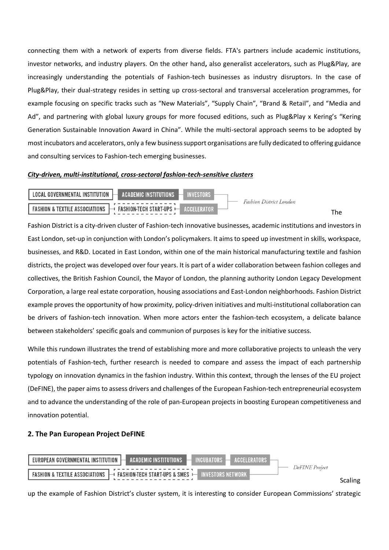connecting them with a network of experts from diverse fields. FTA's partners include academic institutions, investor networks, and industry players. On the other hand**,** also generalist accelerators, such as Plug&Play, are increasingly understanding the potentials of Fashion-tech businesses as industry disruptors. In the case of Plug&Play, their dual-strategy resides in setting up cross-sectoral and transversal acceleration programmes, for example focusing on specific tracks such as "New Materials", "Supply Chain", "Brand & Retail", and "Media and Ad", and partnering with global luxury groups for more focused editions, such as Plug&Play x Kering's "Kering Generation Sustainable Innovation Award in China". While the multi-sectoral approach seems to be adopted by most incubators and accelerators, only a few business support organisations are fully dedicated to offering guidance and consulting services to Fashion-tech emerging businesses.

### *City-driven, multi-institutional, cross-sectoral fashion-tech-sensitive clusters*



Fashion District is a city-driven cluster of Fashion-tech innovative businesses, academic institutions and investors in East London, set-up in conjunction with London's policymakers. It aims to speed up investment in skills, workspace, businesses, and R&D. Located in East London, within one of the main historical manufacturing textile and fashion districts, the project was developed over four years. It is part of a wider collaboration between fashion colleges and collectives, the British Fashion Council, the Mayor of London, the planning authority London Legacy Development Corporation, a large real estate corporation, housing associations and East-London neighborhoods. Fashion District example proves the opportunity of how proximity, policy-driven initiatives and multi-institutional collaboration can be drivers of fashion-tech innovation. When more actors enter the fashion-tech ecosystem, a delicate balance between stakeholders' specific goals and communion of purposes is key for the initiative success.

While this rundown illustrates the trend of establishing more and more collaborative projects to unleash the very potentials of Fashion-tech, further research is needed to compare and assess the impact of each partnership typology on innovation dynamics in the fashion industry. Within this context, through the lenses of the EU project (DeFINE), the paper aims to assess drivers and challenges of the European Fashion-tech entrepreneurial ecosystem and to advance the understanding of the role of pan-European projects in boosting European competitiveness and innovation potential.

# **2. The Pan European Project DeFINE**



up the example of Fashion District's cluster system, it is interesting to consider European Commissions' strategic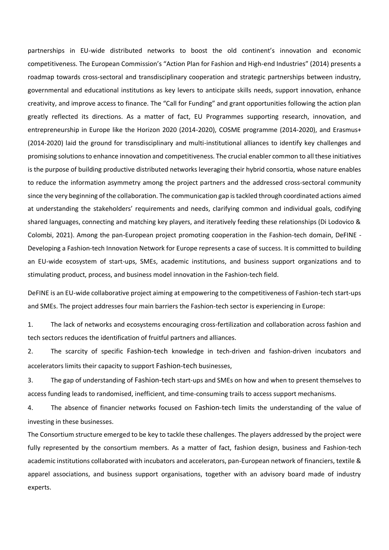partnerships in EU-wide distributed networks to boost the old continent's innovation and economic competitiveness. The European Commission's "Action Plan for Fashion and High-end Industries" (2014) presents a roadmap towards cross-sectoral and transdisciplinary cooperation and strategic partnerships between industry, governmental and educational institutions as key levers to anticipate skills needs, support innovation, enhance creativity, and improve access to finance. The "Call for Funding" and grant opportunities following the action plan greatly reflected its directions. As a matter of fact, EU Programmes supporting research, innovation, and entrepreneurship in Europe like the Horizon 2020 (2014-2020), COSME programme (2014-2020), and Erasmus+ (2014-2020) laid the ground for transdisciplinary and multi-institutional alliances to identify key challenges and promising solutions to enhance innovation and competitiveness. The crucial enabler common to all these initiatives is the purpose of building productive distributed networks leveraging their hybrid consortia, whose nature enables to reduce the information asymmetry among the project partners and the addressed cross-sectoral community since the very beginning of the collaboration. The communication gap is tackled through coordinated actions aimed at understanding the stakeholders' requirements and needs, clarifying common and individual goals, codifying shared languages, connecting and matching key players, and iteratively feeding these relationships (Di Lodovico & Colombi, 2021). Among the pan-European project promoting cooperation in the Fashion-tech domain, DeFINE - Developing a Fashion-tech Innovation Network for Europe represents a case of success. It is committed to building an EU-wide ecosystem of start-ups, SMEs, academic institutions, and business support organizations and to stimulating product, process, and business model innovation in the Fashion-tech field.

DeFINE is an EU-wide collaborative project aiming at empowering to the competitiveness of Fashion-tech start-ups and SMEs. The project addresses four main barriers the Fashion-tech sector is experiencing in Europe:

1. The lack of networks and ecosystems encouraging cross-fertilization and collaboration across fashion and tech sectors reduces the identification of fruitful partners and alliances.

2. The scarcity of specific Fashion-tech knowledge in tech-driven and fashion-driven incubators and accelerators limits their capacity to support Fashion-tech businesses,

3. The gap of understanding of Fashion-tech start-ups and SMEs on how and when to present themselves to access funding leads to randomised, inefficient, and time-consuming trails to access support mechanisms.

4. The absence of financier networks focused on Fashion-tech limits the understanding of the value of investing in these businesses.

The Consortium structure emerged to be key to tackle these challenges. The players addressed by the project were fully represented by the consortium members. As a matter of fact, fashion design, business and Fashion-tech academic institutions collaborated with incubators and accelerators, pan-European network of financiers, textile & apparel associations, and business support organisations, together with an advisory board made of industry experts.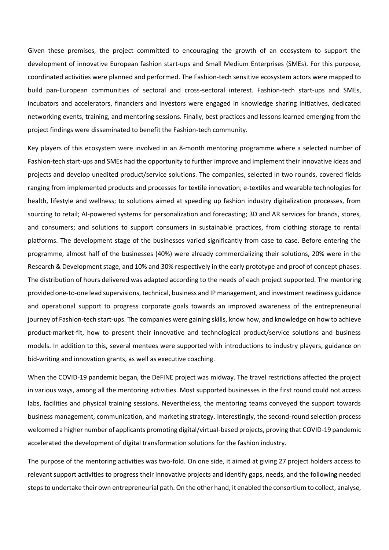Given these premises, the project committed to encouraging the growth of an ecosystem to support the development of innovative European fashion start-ups and Small Medium Enterprises (SMEs). For this purpose, coordinated activities were planned and performed. The Fashion-tech sensitive ecosystem actors were mapped to build pan-European communities of sectoral and cross-sectoral interest. Fashion-tech start-ups and SMEs, incubators and accelerators, financiers and investors were engaged in knowledge sharing initiatives, dedicated networking events, training, and mentoring sessions. Finally, best practices and lessons learned emerging from the project findings were disseminated to benefit the Fashion-tech community.

Key players of this ecosystem were involved in an 8-month mentoring programme where a selected number of Fashion-tech start-ups and SMEs had the opportunity to further improve and implement their innovative ideas and projects and develop unedited product/service solutions. The companies, selected in two rounds, covered fields ranging from implemented products and processes for textile innovation; e-textiles and wearable technologies for health, lifestyle and wellness; to solutions aimed at speeding up fashion industry digitalization processes, from sourcing to retail; AI-powered systems for personalization and forecasting; 3D and AR services for brands, stores, and consumers; and solutions to support consumers in sustainable practices, from clothing storage to rental platforms. The development stage of the businesses varied significantly from case to case. Before entering the programme, almost half of the businesses (40%) were already commercializing their solutions, 20% were in the Research & Development stage, and 10% and 30% respectively in the early prototype and proof of concept phases. The distribution of hours delivered was adapted according to the needs of each project supported. The mentoring provided one-to-one lead supervisions, technical, business and IP management, and investment readiness guidance and operational support to progress corporate goals towards an improved awareness of the entrepreneurial journey of Fashion-tech start-ups. The companies were gaining skills, know how, and knowledge on how to achieve product-market-fit, how to present their innovative and technological product/service solutions and business models. In addition to this, several mentees were supported with introductions to industry players, guidance on bid-writing and innovation grants, as well as executive coaching.

When the COVID-19 pandemic began, the DeFINE project was midway. The travel restrictions affected the project in various ways, among all the mentoring activities. Most supported businesses in the first round could not access labs, facilities and physical training sessions. Nevertheless, the mentoring teams conveyed the support towards business management, communication, and marketing strategy. Interestingly, the second-round selection process welcomed a higher number of applicants promoting digital/virtual-based projects, proving that COVID-19 pandemic accelerated the development of digital transformation solutions for the fashion industry.

The purpose of the mentoring activities was two-fold. On one side, it aimed at giving 27 project holders access to relevant support activities to progress their innovative projects and identify gaps, needs, and the following needed steps to undertake their own entrepreneurial path. On the other hand, it enabled the consortium to collect, analyse,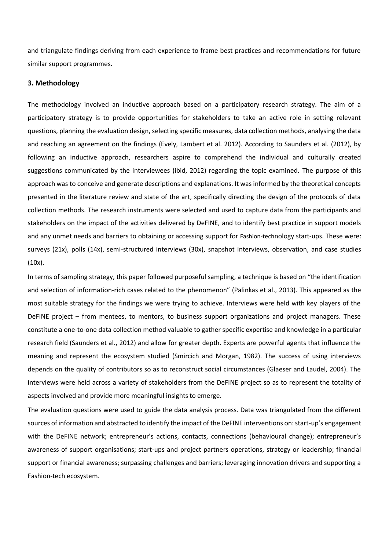and triangulate findings deriving from each experience to frame best practices and recommendations for future similar support programmes.

## **3. Methodology**

The methodology involved an inductive approach based on a participatory research strategy. The aim of a participatory strategy is to provide opportunities for stakeholders to take an active role in setting relevant questions, planning the evaluation design, selecting specific measures, data collection methods, analysing the data and reaching an agreement on the findings (Evely, Lambert et al. 2012). According to Saunders et al. (2012), by following an inductive approach, researchers aspire to comprehend the individual and culturally created suggestions communicated by the interviewees (ibid, 2012) regarding the topic examined. The purpose of this approach was to conceive and generate descriptions and explanations. It was informed by the theoretical concepts presented in the literature review and state of the art, specifically directing the design of the protocols of data collection methods. The research instruments were selected and used to capture data from the participants and stakeholders on the impact of the activities delivered by DeFINE, and to identify best practice in support models and any unmet needs and barriers to obtaining or accessing support for Fashion-technology start-ups. These were: surveys (21x), polls (14x), semi-structured interviews (30x), snapshot interviews, observation, and case studies (10x).

In terms of sampling strategy, this paper followed purposeful sampling, a technique is based on "the identification and selection of information-rich cases related to the phenomenon" (Palinkas et al., 2013). This appeared as the most suitable strategy for the findings we were trying to achieve. Interviews were held with key players of the DeFINE project – from mentees, to mentors, to business support organizations and project managers. These constitute a one-to-one data collection method valuable to gather specific expertise and knowledge in a particular research field (Saunders et al., 2012) and allow for greater depth. Experts are powerful agents that influence the meaning and represent the ecosystem studied (Smircich and Morgan, 1982). The success of using interviews depends on the quality of contributors so as to reconstruct social circumstances (Glaeser and Laudel, 2004). The interviews were held across a variety of stakeholders from the DeFINE project so as to represent the totality of aspects involved and provide more meaningful insights to emerge.

The evaluation questions were used to guide the data analysis process. Data was triangulated from the different sources of information and abstracted to identify the impact of the DeFINE interventions on: start-up's engagement with the DeFINE network; entrepreneur's actions, contacts, connections (behavioural change); entrepreneur's awareness of support organisations; start-ups and project partners operations, strategy or leadership; financial support or financial awareness; surpassing challenges and barriers; leveraging innovation drivers and supporting a Fashion-tech ecosystem.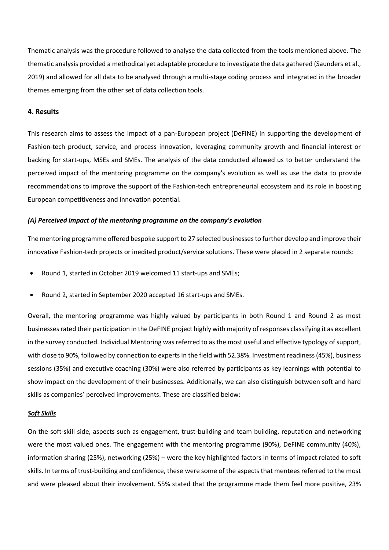Thematic analysis was the procedure followed to analyse the data collected from the tools mentioned above. The thematic analysis provided a methodical yet adaptable procedure to investigate the data gathered (Saunders et al., 2019) and allowed for all data to be analysed through a multi-stage coding process and integrated in the broader themes emerging from the other set of data collection tools.

### **4. Results**

This research aims to assess the impact of a pan-European project (DeFINE) in supporting the development of Fashion-tech product, service, and process innovation, leveraging community growth and financial interest or backing for start-ups, MSEs and SMEs. The analysis of the data conducted allowed us to better understand the perceived impact of the mentoring programme on the company's evolution as well as use the data to provide recommendations to improve the support of the Fashion-tech entrepreneurial ecosystem and its role in boosting European competitiveness and innovation potential.

### *(A) Perceived impact of the mentoring programme on the company's evolution*

The mentoring programme offered bespoke support to 27 selected businessesto further develop and improve their innovative Fashion-tech projects or inedited product/service solutions. These were placed in 2 separate rounds:

- Round 1, started in October 2019 welcomed 11 start-ups and SMEs;
- Round 2, started in September 2020 accepted 16 start-ups and SMEs.

Overall, the mentoring programme was highly valued by participants in both Round 1 and Round 2 as most businesses rated their participation in the DeFINE project highly with majority of responses classifying it as excellent in the survey conducted. Individual Mentoring was referred to as the most useful and effective typology of support, with close to 90%, followed by connection to experts in the field with 52.38%. Investment readiness (45%), business sessions (35%) and executive coaching (30%) were also referred by participants as key learnings with potential to show impact on the development of their businesses. Additionally, we can also distinguish between soft and hard skills as companies' perceived improvements. These are classified below:

### *Soft Skills*

On the soft-skill side, aspects such as engagement, trust-building and team building, reputation and networking were the most valued ones. The engagement with the mentoring programme (90%), DeFINE community (40%), information sharing (25%), networking (25%) – were the key highlighted factors in terms of impact related to soft skills. In terms of trust-building and confidence, these were some of the aspects that mentees referred to the most and were pleased about their involvement. 55% stated that the programme made them feel more positive, 23%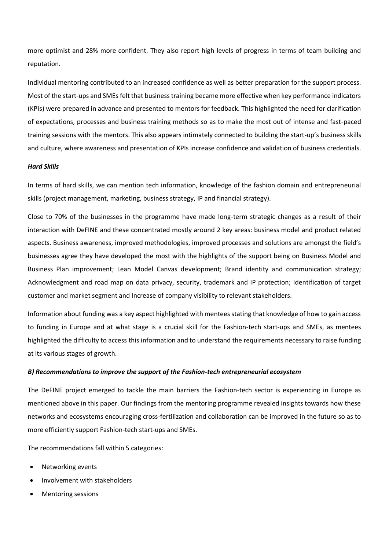more optimist and 28% more confident. They also report high levels of progress in terms of team building and reputation.

Individual mentoring contributed to an increased confidence as well as better preparation for the support process. Most of the start-ups and SMEs felt that business training became more effective when key performance indicators (KPIs) were prepared in advance and presented to mentors for feedback. This highlighted the need for clarification of expectations, processes and business training methods so as to make the most out of intense and fast-paced training sessions with the mentors. This also appears intimately connected to building the start-up's business skills and culture, where awareness and presentation of KPIs increase confidence and validation of business credentials.

### *Hard Skills*

In terms of hard skills, we can mention tech information, knowledge of the fashion domain and entrepreneurial skills (project management, marketing, business strategy, IP and financial strategy).

Close to 70% of the businesses in the programme have made long-term strategic changes as a result of their interaction with DeFINE and these concentrated mostly around 2 key areas: business model and product related aspects. Business awareness, improved methodologies, improved processes and solutions are amongst the field's businesses agree they have developed the most with the highlights of the support being on Business Model and Business Plan improvement; Lean Model Canvas development; Brand identity and communication strategy; Acknowledgment and road map on data privacy, security, trademark and IP protection; Identification of target customer and market segment and Increase of company visibility to relevant stakeholders.

Information about funding was a key aspect highlighted with mentees stating that knowledge of how to gain access to funding in Europe and at what stage is a crucial skill for the Fashion-tech start-ups and SMEs, as mentees highlighted the difficulty to access this information and to understand the requirements necessary to raise funding at its various stages of growth.

### *B) Recommendations to improve the support of the Fashion-tech entrepreneurial ecosystem*

The DeFINE project emerged to tackle the main barriers the Fashion-tech sector is experiencing in Europe as mentioned above in this paper. Our findings from the mentoring programme revealed insights towards how these networks and ecosystems encouraging cross-fertilization and collaboration can be improved in the future so as to more efficiently support Fashion-tech start-ups and SMEs.

The recommendations fall within 5 categories:

- Networking events
- Involvement with stakeholders
- Mentoring sessions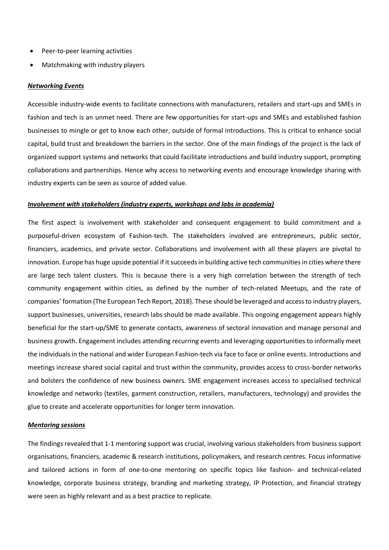- Peer-to-peer learning activities
- Matchmaking with industry players

### *Networking Events*

Accessible industry-wide events to facilitate connections with manufacturers, retailers and start-ups and SMEs in fashion and tech is an unmet need. There are few opportunities for start-ups and SMEs and established fashion businesses to mingle or get to know each other, outside of formal introductions. This is critical to enhance social capital, build trust and breakdown the barriers in the sector. One of the main findings of the project is the lack of organized support systems and networks that could facilitate introductions and build industry support, prompting collaborations and partnerships. Hence why access to networking events and encourage knowledge sharing with industry experts can be seen as source of added value.

### *Involvement with stakeholders (industry experts, workshops and labs in academia)*

The first aspect is involvement with stakeholder and consequent engagement to build commitment and a purposeful-driven ecosystem of Fashion-tech. The stakeholders involved are entrepreneurs, public sector, financiers, academics, and private sector. Collaborations and involvement with all these players are pivotal to innovation. Europe has huge upside potential if it succeeds in building active tech communities in cities where there are large tech talent clusters. This is because there is a very high correlation between the strength of tech community engagement within cities, as defined by the number of tech-related Meetups, and the rate of companies' formation (The European Tech Report, 2018). These should be leveraged and access to industry players, support businesses, universities, research labs should be made available. This ongoing engagement appears highly beneficial for the start-up/SME to generate contacts, awareness of sectoral innovation and manage personal and business growth. Engagement includes attending recurring events and leveraging opportunities to informally meet the individuals in the national and wider European Fashion-tech via face to face or online events. Introductions and meetings increase shared social capital and trust within the community, provides access to cross-border networks and bolsters the confidence of new business owners. SME engagement increases access to specialised technical knowledge and networks (textiles, garment construction, retailers, manufacturers, technology) and provides the glue to create and accelerate opportunities for longer term innovation.

### *Mentoring sessions*

The findings revealed that 1-1 mentoring support was crucial, involving various stakeholders from business support organisations, financiers, academic & research institutions, policymakers, and research centres. Focus informative and tailored actions in form of one-to-one mentoring on specific topics like fashion- and technical-related knowledge, corporate business strategy, branding and marketing strategy, IP Protection, and financial strategy were seen as highly relevant and as a best practice to replicate.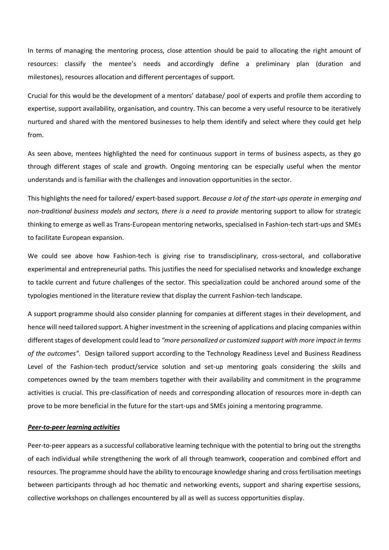In terms of managing the mentoring process, close attention should be paid to allocating the right amount of resources: classify the mentee's needs and accordingly define a preliminary plan (duration and milestones), resources allocation and different percentages of support.

Crucial for this would be the development of a mentors' database/ pool of experts and profile them according to expertise, support availability, organisation, and country. This can become a very useful resource to be iteratively nurtured and shared with the mentored businesses to help them identify and select where they could get help from.

As seen above, mentees highlighted the need for continuous support in terms of business aspects, as they go through different stages of scale and growth. Ongoing mentoring can be especially useful when the mentor understands and is familiar with the challenges and innovation opportunities in the sector.

This highlights the need for tailored/ expert-based support. *Because a lot of the start-ups operate in emerging and non-traditional business models and sectors, there is a need to provide mentoring support to allow for strategic* thinking to emerge as well as Trans-European mentoring networks, specialised in Fashion-tech start-ups and SMEs to facilitate European expansion.

We could see above how Fashion-tech is giving rise to transdisciplinary, cross-sectoral, and collaborative experimental and entrepreneurial paths. This justifies the need for specialised networks and knowledge exchange to tackle current and future challenges of the sector. This specialization could be anchored around some of the typologies mentioned in the literature review that display the current Fashion-tech landscape.

A support programme should also consider planning for companies at different stages in their development, and hence will need tailored support. A higher investment in the screening of applications and placing companies within different stages of development could lead to *"more personalized or customized support with more impact in terms of the outcomes".* Design tailored support according to the Technology Readiness Level and Business Readiness Level of the Fashion-tech product/service solution and set-up mentoring goals considering the skills and competences owned by the team members together with their availability and commitment in the programme activities is crucial. This pre-classification of needs and corresponding allocation of resources more in-depth can prove to be more beneficial in the future for the start-ups and SMEs joining a mentoring programme.

### *Peer-to-peer learning activities*

Peer-to-peer appears as a successful collaborative learning technique with the potential to bring out the strengths of each individual while strengthening the work of all through teamwork, cooperation and combined effort and resources. The programme should have the ability to encourage knowledge sharing and cross fertilisation meetings between participants through ad hoc thematic and networking events, support and sharing expertise sessions, collective workshops on challenges encountered by all as well as success opportunities display.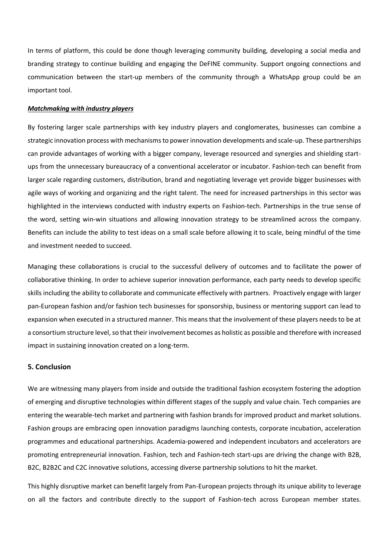In terms of platform, this could be done though leveraging community building, developing a social media and branding strategy to continue building and engaging the DeFINE community. Support ongoing connections and communication between the start-up members of the community through a WhatsApp group could be an important tool.

### *Matchmaking with industry players*

By fostering larger scale partnerships with key industry players and conglomerates, businesses can combine a strategic innovation process with mechanisms to power innovation developments and scale-up. These partnerships can provide advantages of working with a bigger company, leverage resourced and synergies and shielding startups from the unnecessary bureaucracy of a conventional accelerator or incubator. Fashion-tech can benefit from larger scale regarding customers, distribution, brand and negotiating leverage yet provide bigger businesses with agile ways of working and organizing and the right talent. The need for increased partnerships in this sector was highlighted in the interviews conducted with industry experts on Fashion-tech. Partnerships in the true sense of the word, setting win-win situations and allowing innovation strategy to be streamlined across the company. Benefits can include the ability to test ideas on a small scale before allowing it to scale, being mindful of the time and investment needed to succeed.

Managing these collaborations is crucial to the successful delivery of outcomes and to facilitate the power of collaborative thinking. In order to achieve superior innovation performance, each party needs to develop specific skills including the ability to collaborate and communicate effectively with partners. Proactively engage with larger pan-European fashion and/or fashion tech businesses for sponsorship, business or mentoring support can lead to expansion when executed in a structured manner. This means that the involvement of these players needs to be at a consortium structure level, so that their involvement becomes as holistic as possible and therefore with increased impact in sustaining innovation created on a long-term.

### **5. Conclusion**

We are witnessing many players from inside and outside the traditional fashion ecosystem fostering the adoption of emerging and disruptive technologies within different stages of the supply and value chain. Tech companies are entering the wearable-tech market and partnering with fashion brands for improved product and market solutions. Fashion groups are embracing open innovation paradigms launching contests, corporate incubation, acceleration programmes and educational partnerships. Academia-powered and independent incubators and accelerators are promoting entrepreneurial innovation. Fashion, tech and Fashion-tech start-ups are driving the change with B2B, B2C, B2B2C and C2C innovative solutions, accessing diverse partnership solutions to hit the market.

This highly disruptive market can benefit largely from Pan-European projects through its unique ability to leverage on all the factors and contribute directly to the support of Fashion-tech across European member states.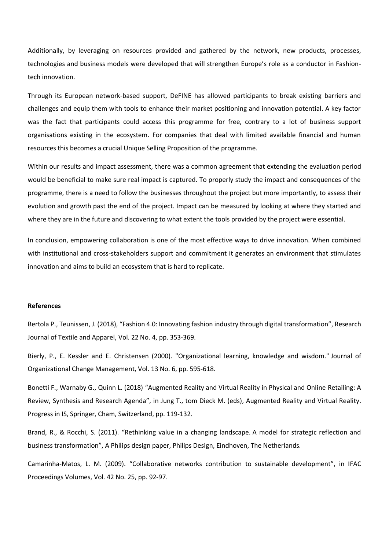Additionally, by leveraging on resources provided and gathered by the network, new products, processes, technologies and business models were developed that will strengthen Europe's role as a conductor in Fashiontech innovation.

Through its European network-based support, DeFINE has allowed participants to break existing barriers and challenges and equip them with tools to enhance their market positioning and innovation potential. A key factor was the fact that participants could access this programme for free, contrary to a lot of business support organisations existing in the ecosystem. For companies that deal with limited available financial and human resources this becomes a crucial Unique Selling Proposition of the programme.

Within our results and impact assessment, there was a common agreement that extending the evaluation period would be beneficial to make sure real impact is captured. To properly study the impact and consequences of the programme, there is a need to follow the businesses throughout the project but more importantly, to assess their evolution and growth past the end of the project. Impact can be measured by looking at where they started and where they are in the future and discovering to what extent the tools provided by the project were essential.

In conclusion, empowering collaboration is one of the most effective ways to drive innovation. When combined with institutional and cross-stakeholders support and commitment it generates an environment that stimulates innovation and aims to build an ecosystem that is hard to replicate.

### **References**

Bertola P., Teunissen, J. (2018), "Fashion 4.0: Innovating fashion industry through digital transformation", Research Journal of Textile and Apparel, Vol. 22 No. 4, pp. 353-369.

Bierly, P., E. Kessler and E. Christensen (2000). "Organizational learning, knowledge and wisdom." Journal of Organizational Change Management, Vol. 13 No. 6, pp. 595-618.

Bonetti F., Warnaby G., Quinn L. (2018) "Augmented Reality and Virtual Reality in Physical and Online Retailing: A Review, Synthesis and Research Agenda", in Jung T., tom Dieck M. (eds), Augmented Reality and Virtual Reality. Progress in IS, Springer, Cham, Switzerland, pp. 119-132.

Brand, R., & Rocchi, S. (2011). "Rethinking value in a changing landscape. A model for strategic reflection and business transformation", A Philips design paper, Philips Design, Eindhoven, The Netherlands.

Camarinha-Matos, L. M. (2009). "Collaborative networks contribution to sustainable development", in IFAC Proceedings Volumes, Vol. 42 No. 25, pp. 92-97.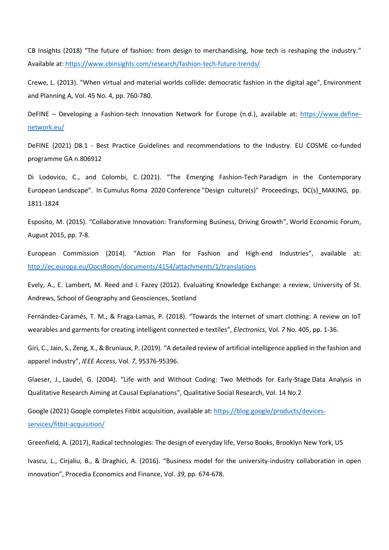CB Insights (2018) "The future of fashion: from design to merchandising, how tech is reshaping the industry." Available at:<https://www.cbinsights.com/research/fashion-tech-future-trends/>

Crewe, L. (2013). "When virtual and material worlds collide: democratic fashion in the digital age", Environment and Planning A, Vol. 45 No. 4, pp. 760-780.

DeFINE – Developing a Fashion-tech Innovation Network for Europe (n.d.), available at: [https://www.define](https://www.define-network.eu/)[network.eu/](https://www.define-network.eu/)

DeFINE (2021) D8.1 - Best Practice Guidelines and recommendations to the Industry. EU COSME co-funded programme GA n.806912

Di Lodovico, C., and Colombi, C. (2021). "The Emerging Fashion-Tech Paradigm in the Contemporary European Landscape". In Cumulus Roma 2020 Conference "Design culture(s)" Proceedings, DC(s)\_MAKING, pp. 1811-1824

Esposito, M. (2015). "Collaborative Innovation: Transforming Business, Driving Growth", World Economic Forum, August 2015, pp. 7-8.

European Commission (2014). "Action Plan for Fashion and High-end Industries", available at: <http://ec.europa.eu/DocsRoom/documents/4154/attachments/1/translations>

Evely, A., E. Lambert, M. Reed and I. Fazey (2012). Evaluating Knowledge Exchange: a review, University of St. Andrews, School of Geography and Geosciences, Scotland

Fernández-Caramés, T. M., & Fraga-Lamas, P. (2018). "Towards the Internet of smart clothing: A review on IoT wearables and garments for creating intelligent connected e-textiles", *Electronics*, Vol. *7* No. 405, pp. 1-36.

Giri, C., Jain, S., Zeng, X., & Bruniaux, P. (2019). "A detailed review of artificial intelligence applied in the fashion and apparel industry", *IEEE Access*, Vol. *7*, 95376-95396.

Glaeser, J., Laudel, G. (2004). "Life with and Without Coding: Two Methods for Early-Stage Data Analysis in Qualitative Research Aiming at Causal Explanations", Qualitative Social Research, Vol. 14 No.2

Google (2021) Google completes Fitbit acquisition, available at: [https://blog.google/products/devices](https://blog.google/products/devices-services/fitbit-acquisition/)[services/fitbit-acquisition/](https://blog.google/products/devices-services/fitbit-acquisition/)

Greenfield, A. (2017), Radical technologies: The design of everyday life, Verso Books, Brooklyn New York, US

Ivascu, L., Cirjaliu, B., & Draghici, A. (2016). "Business model for the university-industry collaboration in open innovation", Procedia Economics and Finance, Vol. *39*, pp. 674-678.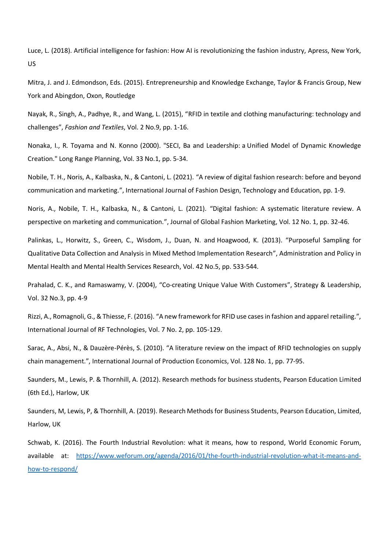Luce, L. (2018). Artificial intelligence for fashion: How AI is revolutionizing the fashion industry, Apress, New York, US

Mitra, J. and J. Edmondson, Eds. (2015). Entrepreneurship and Knowledge Exchange, Taylor & Francis Group, New York and Abingdon, Oxon, Routledge

Nayak, R., Singh, A., Padhye, R., and Wang, L. (2015), "RFID in textile and clothing manufacturing: technology and challenges", *Fashion and Textiles*, Vol. 2 No.9, pp. 1-16.

Nonaka, I., R. Toyama and N. Konno (2000). "SECI, Ba and Leadership: a Unified Model of Dynamic Knowledge Creation." Long Range Planning, Vol. 33 No.1, pp. 5-34.

Nobile, T. H., Noris, A., Kalbaska, N., & Cantoni, L. (2021). "A review of digital fashion research: before and beyond communication and marketing.", International Journal of Fashion Design, Technology and Education, pp. 1-9.

Noris, A., Nobile, T. H., Kalbaska, N., & Cantoni, L. (2021). "Digital fashion: A systematic literature review. A perspective on marketing and communication.", Journal of Global Fashion Marketing, Vol. 12 No. 1, pp. 32-46.

Palinkas, L., Horwitz, S., Green, C., Wisdom, J., Duan, N. and Hoagwood, K. (2013). "Purposeful Sampling for Qualitative Data Collection and Analysis in Mixed Method Implementation Research", Administration and Policy in Mental Health and Mental Health Services Research, Vol. 42 No.5, pp. 533-544.

Prahalad, C. K., and Ramaswamy, V. (2004), "Co-creating Unique Value With Customers", Strategy & Leadership, Vol. 32 No.3, pp. 4-9

Rizzi, A., Romagnoli, G., & Thiesse, F. (2016). "A new framework for RFID use cases in fashion and apparel retailing.", International Journal of RF Technologies, Vol. 7 No. 2, pp. 105-129.

Sarac, A., Absi, N., & Dauzère-Pérès, S. (2010). "A literature review on the impact of RFID technologies on supply chain management.", International Journal of Production Economics, Vol. 128 No. 1, pp. 77-95.

Saunders, M., Lewis, P. & Thornhill, A. (2012). Research methods for business students, Pearson Education Limited (6th Ed.), Harlow, UK

Saunders, M, Lewis, P, & Thornhill, A. (2019). Research Methods for Business Students, Pearson Education, Limited, Harlow, UK

Schwab, K. (2016). The Fourth Industrial Revolution: what it means, how to respond, World Economic Forum, available at: [https://www.weforum.org/agenda/2016/01/the-fourth-industrial-revolution-what-it-means-and](https://www.weforum.org/agenda/2016/01/the-fourth-industrial-revolution-what-it-means-and-how-to-respond/)[how-to-respond/](https://www.weforum.org/agenda/2016/01/the-fourth-industrial-revolution-what-it-means-and-how-to-respond/)